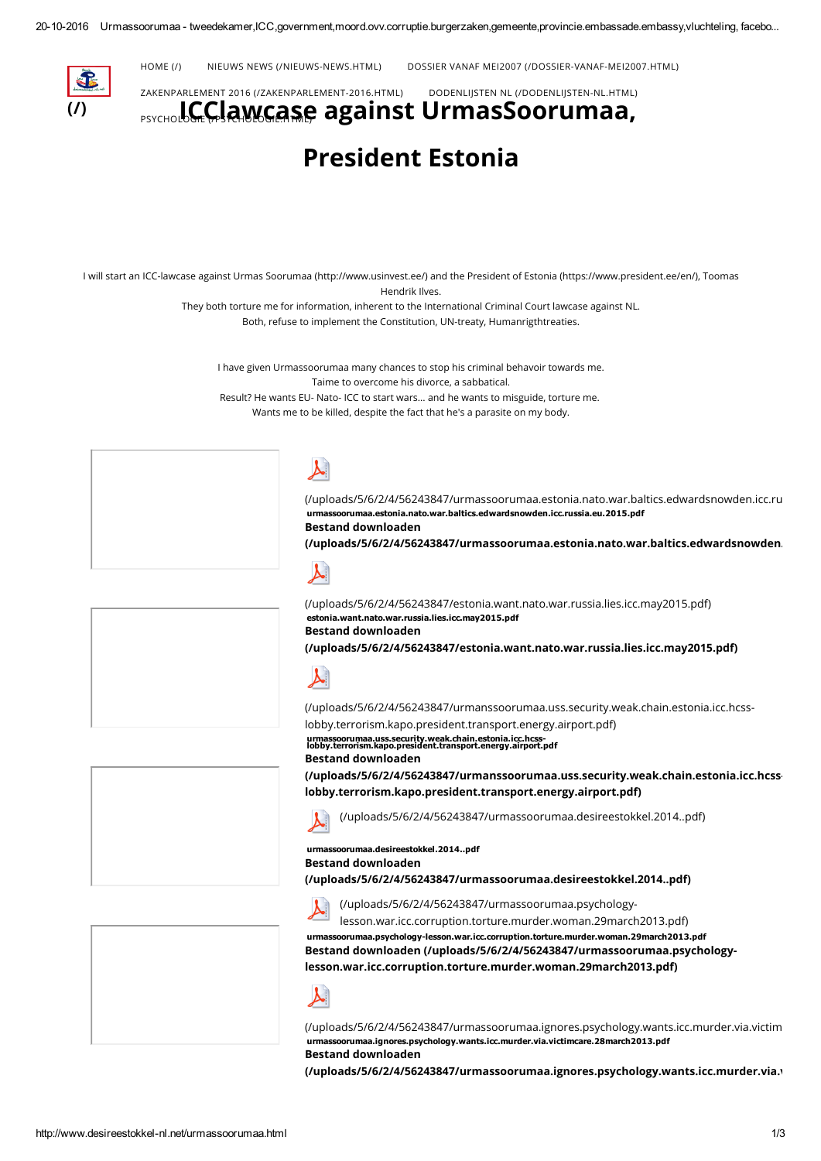

[HOME](http://www.desireestokkel-nl.net/) (/) NIEUWS NEWS [\(/NIEUWS-NEWS.HTML\)](http://www.desireestokkel-nl.net/nieuws-news.html) DOSSIER VANAF MEI2007 [\(/DOSSIER-VANAF-MEI2007.HTML\)](http://www.desireestokkel-nl.net/dossier-vanaf-mei2007.html)

# PSYCHOL**OG.C.LA.W.C.A.S.C. against [UrmasSoorumaa,](http://www.desireestokkel-nl.net/dodenlijsten-nl.html)** ZAKENPARLEMENT 2016 [\(/ZAKENPARLEMENT-2016.HTML\)](http://www.desireestokkel-nl.net/zakenparlement-2016.html) DODENLIJSTEN NL (/DODENLIJSTEN-NL.HTML)

# President Estonia

I will start an ICC-lawcase against Urmas Soorumaa [\(http://www.usinvest.ee/\)](http://www.usinvest.ee/) and the President of Estonia [\(https://www.president.ee/en/\)](https://www.president.ee/en/), Toomas

Hendrik Ilves.

They both torture me for information, inherent to the International Criminal Court lawcase against NL.

Both, refuse to implement the Constitution, UN-treaty, Humanrigthtreaties.

I have given Urmassoorumaa many chances to stop his criminal behavoir towards me. Taime to overcome his divorce, a sabbatical. Result? He wants EU- Nato- ICC to start wars... and he wants to misguide, torture me. Wants me to be killed, despite the fact that he's a parasite on my body.

estonia.want.nato.war.russia.lies.icc.may2015.pdf

Bestand downloaden



[\(/uploads/5/6/2/4/56243847/urmassoorumaa.estonia.nato.war.baltics.edwardsnowden.icc.ru](http://www.desireestokkel-nl.net/uploads/5/6/2/4/56243847/urmassoorumaa.estonia.nato.war.baltics.edwardsnowden.icc.russia.eu.2015.pdf)ssia.eu.2015.pdf) urmassoorumaa.estonia.nato.war.baltics.edwardsnowden.icc.russia.eu.2015.pdf Bestand downloaden

[\(/uploads/5/6/2/4/56243847/urmassoorumaa.estonia.nato.war.baltics.edwardsnowden.](http://www.desireestokkel-nl.net/uploads/5/6/2/4/56243847/urmassoorumaa.estonia.nato.war.baltics.edwardsnowden.icc.russia.eu.2015.pdf)





[\(/uploads/5/6/2/4/56243847/urmassoorumaa.desireestokkel.2014..pdf\)](http://www.desireestokkel-nl.net/uploads/5/6/2/4/56243847/urmassoorumaa.desireestokkel.2014..pdf)

[\(/uploads/5/6/2/4/56243847/urmanssoorumaa.uss.security.weak.chain.estonia.icc.hcss-](http://www.desireestokkel-nl.net/uploads/5/6/2/4/56243847/urmanssoorumaa.uss.security.weak.chain.estonia.icc.hcss-lobby.terrorism.kapo.president.transport.energy.airport.pdf)

[\(/uploads/5/6/2/4/56243847/estonia.want.nato.war.russia.lies.icc.may2015.pdf\)](http://www.desireestokkel-nl.net/uploads/5/6/2/4/56243847/estonia.want.nato.war.russia.lies.icc.may2015.pdf)

[\(/uploads/5/6/2/4/56243847/estonia.want.nato.war.russia.lies.icc.may2015.pdf\)](http://www.desireestokkel-nl.net/uploads/5/6/2/4/56243847/estonia.want.nato.war.russia.lies.icc.may2015.pdf)



urmassoorumaa.desireestokkel.2014..pdf Bestand downloaden

lobby.terrorism.kapo.president.transport.energy.airport.pdf)

urmassoorumaa.uss.security.weak.chain.estonia.icc.hcss-lobby.terrorism.kapo.president.transport.energy.airport.pdf

[\(/uploads/5/6/2/4/56243847/urmassoorumaa.desireestokkel.2014..pdf\)](http://www.desireestokkel-nl.net/uploads/5/6/2/4/56243847/urmassoorumaa.desireestokkel.2014..pdf)



(/uploads/5/6/2/4/56243847/urmassoorumaa.psychology[lesson.war.icc.corruption.torture.murder.woman.29march2013.pdf\)](http://www.desireestokkel-nl.net/uploads/5/6/2/4/56243847/urmassoorumaa.psychology-lesson.war.icc.corruption.torture.murder.woman.29march2013.pdf)

urmassoorumaa.psychology-lesson.war.icc.corruption.torture.murder.woman.29march2013.pdf Bestand downloaden (/uploads/5/6/2/4/56243847/urmassoorumaa.psychology[lesson.war.icc.corruption.torture.murder.woman.29march2013.pdf\)](http://www.desireestokkel-nl.net/uploads/5/6/2/4/56243847/urmassoorumaa.psychology-lesson.war.icc.corruption.torture.murder.woman.29march2013.pdf)



[\(/uploads/5/6/2/4/56243847/urmassoorumaa.ignores.psychology.wants.icc.murder.via.victim](http://www.desireestokkel-nl.net/uploads/5/6/2/4/56243847/urmassoorumaa.ignores.psychology.wants.icc.murder.via.victimcare.28march2013.pdf) urmassoorumaa.ignores.psychology.wants.icc.murder.via.victimcare.28march2013.pdf Bestand downloaden

[\(/uploads/5/6/2/4/56243847/urmassoorumaa.ignores.psychology.wants.icc.murder.via.v](http://www.desireestokkel-nl.net/uploads/5/6/2/4/56243847/urmassoorumaa.ignores.psychology.wants.icc.murder.via.victimcare.28march2013.pdf)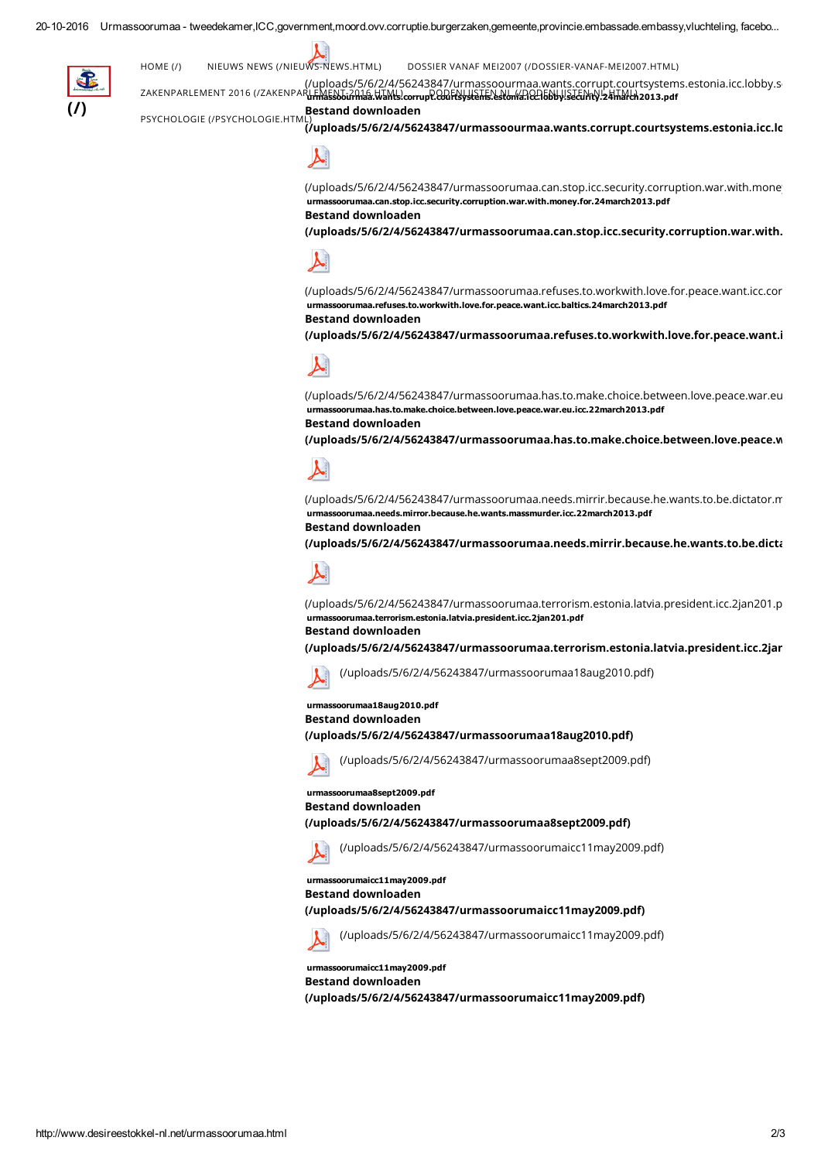

(/uploads/5/6/2/4/56243847/urmassoourmaa.wants.corrupt.courtsystems.estonia.icc.lobby.s ZAKENPARLEMENT 2016 (/ZAKENPARL<del>EMASSOJAMAS.WANS</del>.corrupt.com/<del>ENystens.eston(ARCA5bby!SJ&IMY).24ma/ch</del>2013.pdf [HOME](http://www.desireestokkel-nl.net/) (/) NIEUWS NEWS [\(/NIEUWS-NEWS.HTML\)](http://www.desireestokkel-nl.net/nieuws-news.html) DOSSIER VANAF MEI2007 [\(/DOSSIER-VANAF-MEI2007.HTML\)](http://www.desireestokkel-nl.net/dossier-vanaf-mei2007.html)

#### Bestand downloaden

 $\vec{a}$ uploads/5/6/2/4/56243847/urmassoourmaa.wants.corrupt.courtsystems.estonia.icc.lo PSYCHOLOGIE (/PSYCHOLOGIE.HTM



(/uploads/5/6/2/4/56243847/urmassoorumaa.can.stop.icc.security.corruption.war.with.mone urmassoorumaa.can.stop.icc.security.corruption.war.with.money.for.24march2013.pdf Bestand downloaden

[\(/uploads/5/6/2/4/56243847/urmassoorumaa.can.stop.icc.security.corruption.war.with.](http://www.desireestokkel-nl.net/uploads/5/6/2/4/56243847/urmassoorumaa.can.stop.icc.security.corruption.war.with.money.for.desireestokkel.24march2013.pdf)



[\(/uploads/5/6/2/4/56243847/urmassoorumaa.refuses.to.workwith.love.for.peace.want.icc.cor](http://www.desireestokkel-nl.net/uploads/5/6/2/4/56243847/urmassoorumaa.refuses.to.workwith.love.for.peace.want.icc.corruption.baltics.24march2013.pdf) urmassoorumaa.refuses.to.workwith.love.for.peace.want.icc.baltics.24march2013.pdf

## Bestand downloaden

[\(/uploads/5/6/2/4/56243847/urmassoorumaa.refuses.to.workwith.love.for.peace.want.i](http://www.desireestokkel-nl.net/uploads/5/6/2/4/56243847/urmassoorumaa.refuses.to.workwith.love.for.peace.want.icc.corruption.baltics.24march2013.pdf)



[\(/uploads/5/6/2/4/56243847/urmassoorumaa.has.to.make.choice.between.love.peace.war.eu](http://www.desireestokkel-nl.net/uploads/5/6/2/4/56243847/urmassoorumaa.has.to.make.choice.between.love.peace.war.eu.icc.corruption.22march2013.pdf) urmassoorumaa.has.to.make.choice.between.love.peace.war.eu.icc.22march2013.pdf

# Bestand downloaden

[\(/uploads/5/6/2/4/56243847/urmassoorumaa.has.to.make.choice.between.love.peace.w](http://www.desireestokkel-nl.net/uploads/5/6/2/4/56243847/urmassoorumaa.has.to.make.choice.between.love.peace.war.eu.icc.corruption.22march2013.pdf)



(/uploads/5/6/2/4/56243847/urmassoorumaa.needs.mirrir.because.he.wants.to.be.dictator.n urmassoorumaa.needs.mirror.because.he.wants.massmurder.icc.22march2013.pdf Bestand downloaden

[\(/uploads/5/6/2/4/56243847/urmassoorumaa.needs.mirrir.because.he.wants.to.be.dicta](http://www.desireestokkel-nl.net/uploads/5/6/2/4/56243847/urmassoorumaa.needs.mirrir.because.he.wants.to.be.dictator.massmurderer.icc.lobby.22march2013.pdf)



[\(/uploads/5/6/2/4/56243847/urmassoorumaa.terrorism.estonia.latvia.president.icc.2jan201.p](http://www.desireestokkel-nl.net/uploads/5/6/2/4/56243847/urmassoorumaa.terrorism.estonia.latvia.president.icc.2jan201.pdf) urmassoorumaa.terrorism.estonia.latvia.president.icc.2jan201.pdf

### Bestand downloaden

(/uploads/5/6/2/4/56243847/urmassoorumaa.terrorism.estonia.latvia.president.icc.2jar

[\(/uploads/5/6/2/4/56243847/urmassoorumaa18aug2010.pdf\)](http://www.desireestokkel-nl.net/uploads/5/6/2/4/56243847/urmassoorumaa18aug2010.pdf)

# urmassoorumaa18aug2010.pdf Bestand downloaden

[\(/uploads/5/6/2/4/56243847/urmassoorumaa18aug2010.pdf\)](http://www.desireestokkel-nl.net/uploads/5/6/2/4/56243847/urmassoorumaa18aug2010.pdf)



[\(/uploads/5/6/2/4/56243847/urmassoorumaa8sept2009.pdf\)](http://www.desireestokkel-nl.net/uploads/5/6/2/4/56243847/urmassoorumaa8sept2009.pdf)

#### urmassoorumaa8sept2009.pdf Bestand downloaden

[\(/uploads/5/6/2/4/56243847/urmassoorumaa8sept2009.pdf\)](http://www.desireestokkel-nl.net/uploads/5/6/2/4/56243847/urmassoorumaa8sept2009.pdf)



[\(/uploads/5/6/2/4/56243847/urmassoorumaicc11may2009.pdf\)](http://www.desireestokkel-nl.net/uploads/5/6/2/4/56243847/urmassoorumaicc11may2009.pdf)

#### urmassoorumaicc11may2009.pdf Bestand downloaden

[\(/uploads/5/6/2/4/56243847/urmassoorumaicc11may2009.pdf\)](http://www.desireestokkel-nl.net/uploads/5/6/2/4/56243847/urmassoorumaicc11may2009.pdf)



[\(/uploads/5/6/2/4/56243847/urmassoorumaicc11may2009.pdf\)](http://www.desireestokkel-nl.net/uploads/5/6/2/4/56243847/urmassoorumaicc11may2009.pdf)

urmassoorumaicc11may2009.pdf Bestand downloaden [\(/uploads/5/6/2/4/56243847/urmassoorumaicc11may2009.pdf\)](http://www.desireestokkel-nl.net/uploads/5/6/2/4/56243847/urmassoorumaicc11may2009.pdf)